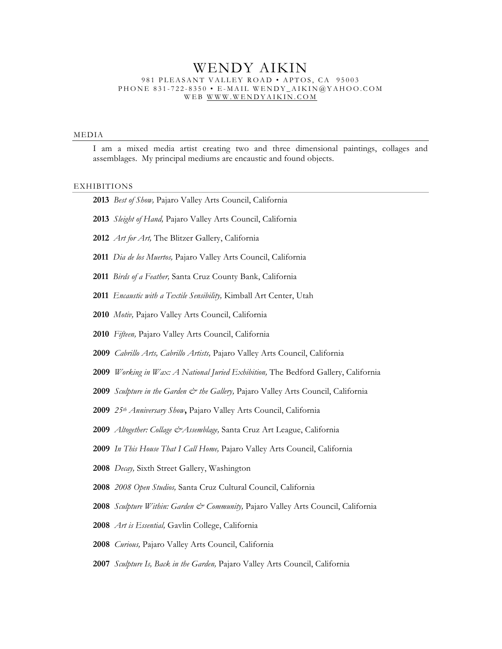# WENDY AIKIN 981 PLEASANT VALLEY ROAD • APTOS, CA 95003 PHONE 831-722-8350 • E-MAIL WENDY\_AIKIN@YAHOO.COM WEB WWW.WENDYAIKIN.COM

### MEDIA

I am a mixed media artist creating two and three dimensional paintings, collages and assemblages. My principal mediums are encaustic and found objects.

#### EXHIBITIONS

| 2013 Best of Show, Pajaro Valley Arts Council, California           |
|---------------------------------------------------------------------|
| 2013 Sleight of Hand, Pajaro Valley Arts Council, California        |
| 2012 Art for Art, The Blitzer Gallery, California                   |
| 2011 Dia de los Muertos, Pajaro Valley Arts Council, California     |
| 2011 Birds of a Feather, Santa Cruz County Bank, California         |
| 2011 Encaustic with a Textile Sensibility, Kimball Art Center, Utah |
| 2010 Motiv, Pajaro Valley Arts Council, California                  |

- *Fifteen,* Pajaro Valley Arts Council, California
- *Cabrillo Arts, Cabrillo Artists,* Pajaro Valley Arts Council, California
- *Working in Wax: A National Juried Exhibition,* The Bedford Gallery, California
- *Sculpture in the Garden & the Gallery*, Pajaro Valley Arts Council, California
- *25th Anniversary Show***,** Pajaro Valley Arts Council, California
- *Altogether: Collage &Assemblage,* Santa Cruz Art League, California
- *In This House That I Call Home,* Pajaro Valley Arts Council, California
- *Decay,* Sixth Street Gallery, Washington
- *2008 Open Studios,* Santa Cruz Cultural Council, California
- *Sculpture Within: Garden & Community,* Pajaro Valley Arts Council, California
- *Art is Essential,* Gavlin College, California
- *Curious,* Pajaro Valley Arts Council, California
- *Sculpture Is, Back in the Garden,* Pajaro Valley Arts Council, California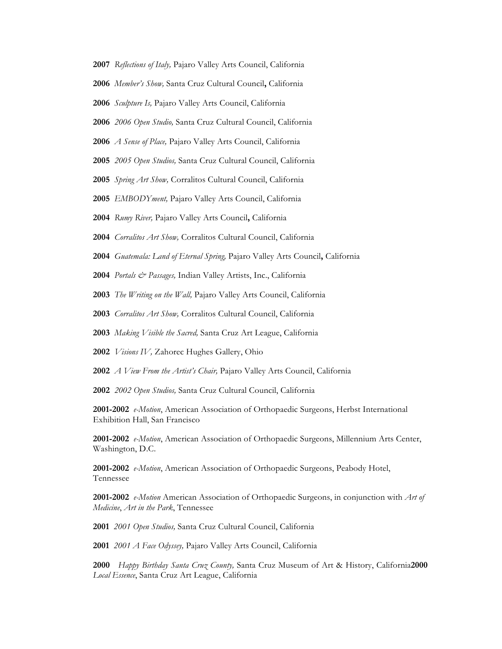- *Reflections of Italy,* Pajaro Valley Arts Council, California
- *Member's Show,* Santa Cruz Cultural Council**,** California
- *Sculpture Is,* Pajaro Valley Arts Council, California
- *2006 Open Studio,* Santa Cruz Cultural Council, California
- *A Sense of Place,* Pajaro Valley Arts Council, California
- *2005 Open Studios,* Santa Cruz Cultural Council, California
- *Spring Art Show,* Corralitos Cultural Council, California
- *EMBODYment,* Pajaro Valley Arts Council, California
- *Rumy River,* Pajaro Valley Arts Council**,** California
- *Corralitos Art Show,* Corralitos Cultural Council, California
- *Guatemala: Land of Eternal Spring,* Pajaro Valley Arts Council**,** California
- *Portals & Passages,* Indian Valley Artists, Inc., California
- *The Writing on the Wall,* Pajaro Valley Arts Council, California
- *Corralitos Art Show,* Corralitos Cultural Council, California
- *Making Visible the Sacred,* Santa Cruz Art League, California
- *Visions IV,* Zahorec Hughes Gallery, Ohio
- *A View From the Artist's Chair,* Pajaro Valley Arts Council, California
- *2002 Open Studios,* Santa Cruz Cultural Council, California

**2001-2002** *e-Motion*, American Association of Orthopaedic Surgeons, Herbst International Exhibition Hall, San Francisco

**2001-2002** *e-Motion*, American Association of Orthopaedic Surgeons, Millennium Arts Center, Washington, D.C.

**2001-2002** *e-Motion*, American Association of Orthopaedic Surgeons, Peabody Hotel, Tennessee

**2001-2002** *e-Motion* American Association of Orthopaedic Surgeons, in conjunction with *Art of Medicine*, *Art in the Park*, Tennessee

*2001 Open Studios,* Santa Cruz Cultural Council, California

*2001 A Face Odyssey,* Pajaro Valley Arts Council, California

*Happy Birthday Santa Cruz County,* Santa Cruz Museum of Art & History, California**2000**  *Local Essence*, Santa Cruz Art League, California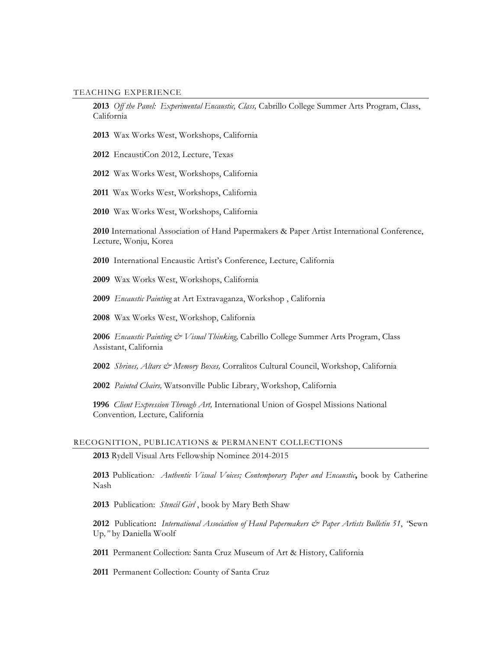### TEACHING EXPERIENCE

*Off the Panel: Experimental Encaustic, Class,* Cabrillo College Summer Arts Program, Class, California

- Wax Works West, Workshops, California
- EncaustiCon 2012, Lecture, Texas

Wax Works West, Workshops, California

- Wax Works West, Workshops, California
- Wax Works West, Workshops, California

 International Association of Hand Papermakers & Paper Artist International Conference, Lecture, Wonju, Korea

International Encaustic Artist's Conference, Lecture, California

Wax Works West, Workshops, California

*Encaustic Painting* at Art Extravaganza, Workshop , California

Wax Works West, Workshop, California

 *Encaustic Painting & Visual Thinking,* Cabrillo College Summer Arts Program, Class Assistant, California

*Shrines, Altars & Memory Boxes,* Corralitos Cultural Council, Workshop, California

*Painted Chairs,* Watsonville Public Library, Workshop, California

*Client Expression Through Art,* International Union of Gospel Missions National Convention*,* Lecture, California

## RECOGNITION, PUBLICATIONS & PERMANENT COLLECTIONS

Rydell Visual Arts Fellowship Nominee 2014-2015

 Publication*: Authentic Visual Voices; Contemporary Paper and Encaustic***,** book by Catherine Nash

Publication: *Stencil Girl* , book by Mary Beth Shaw

 Publication**:** *International Association of Hand Papermakers & Paper Artists Bulletin 51*, *"*Sewn Up*,"* by Daniella Woolf

Permanent Collection: Santa Cruz Museum of Art & History, California

Permanent Collection: County of Santa Cruz